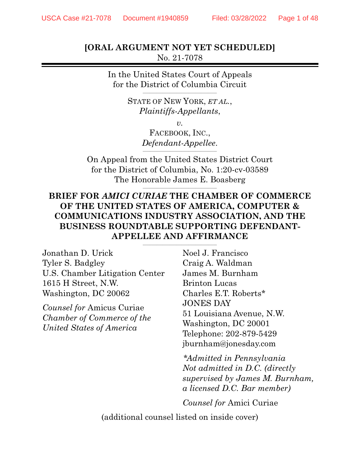**[ORAL ARGUMENT NOT YET SCHEDULED]**  No. 21-7078

> In the United States Court of Appeals for the District of Columbia Circuit

> > STATE OF NEW YORK, *ET AL.*, *Plaintiffs-Appellants*,

> > > *v.*

FACEBOOK, INC., *Defendant-Appellee.* 

On Appeal from the United States District Court for the District of Columbia, No. 1:20-cv-03589 The Honorable James E. Boasberg

### **BRIEF FOR** *AMICI CURIAE* **THE CHAMBER OF COMMERCE OF THE UNITED STATES OF AMERICA, COMPUTER & COMMUNICATIONS INDUSTRY ASSOCIATION, AND THE BUSINESS ROUNDTABLE SUPPORTING DEFENDANT-APPELLEE AND AFFIRMANCE**

\_\_\_\_\_\_\_\_\_\_\_\_\_\_\_\_\_\_\_\_\_\_\_\_\_\_\_\_\_\_\_\_\_\_\_\_\_\_\_\_\_\_

Jonathan D. Urick Tyler S. Badgley U.S. Chamber Litigation Center 1615 H Street, N.W. Washington, DC 20062

*Counsel for* Amicus Curiae *Chamber of Commerce of the United States of America* 

Noel J. Francisco Craig A. Waldman James M. Burnham Brinton Lucas Charles E.T. Roberts\* JONES DAY 51 Louisiana Avenue, N.W. Washington, DC 20001 Telephone: 202-879-5429 jburnham@jonesday.com

*\*Admitted in Pennsylvania Not admitted in D.C. (directly supervised by James M. Burnham, a licensed D.C. Bar member)* 

*Counsel for* Amici Curiae

(additional counsel listed on inside cover)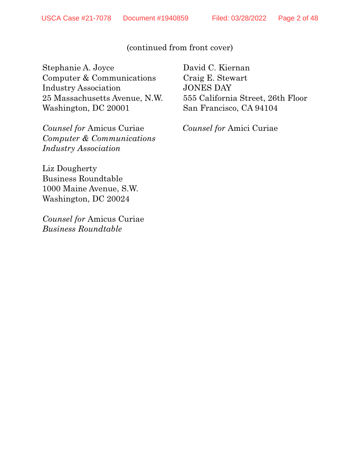### (continued from front cover)

Stephanie A. Joyce Computer & Communications Industry Association 25 Massachusetts Avenue, N.W. Washington, DC 20001

*Counsel for* Amicus Curiae *Computer & Communications Industry Association* 

Liz Dougherty Business Roundtable 1000 Maine Avenue, S.W. Washington, DC 20024

*Counsel for* Amicus Curiae *Business Roundtable*

David C. Kiernan Craig E. Stewart JONES DAY 555 California Street, 26th Floor San Francisco, CA 94104

*Counsel for* Amici Curiae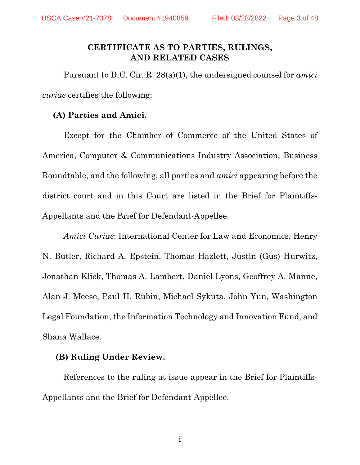### **CERTIFICATE AS TO PARTIES, RULINGS, AND RELATED CASES**

Pursuant to D.C. Cir. R. 28(a)(1), the undersigned counsel for *amici curiae* certifies the following:

### **(A) Parties and Amici.**

Except for the Chamber of Commerce of the United States of America, Computer & Communications Industry Association, Business Roundtable, and the following, all parties and *amici* appearing before the district court and in this Court are listed in the Brief for Plaintiffs-Appellants and the Brief for Defendant-Appellee.

*Amici Curiae*: International Center for Law and Economics, Henry N. Butler, Richard A. Epstein, Thomas Hazlett, Justin (Gus) Hurwitz, Jonathan Klick, Thomas A. Lambert, Daniel Lyons, Geoffrey A. Manne, Alan J. Meese, Paul H. Rubin, Michael Sykuta, John Yun, Washington Legal Foundation, the Information Technology and Innovation Fund, and Shana Wallace.

### **(B) Ruling Under Review.**

References to the ruling at issue appear in the Brief for Plaintiffs-Appellants and the Brief for Defendant-Appellee.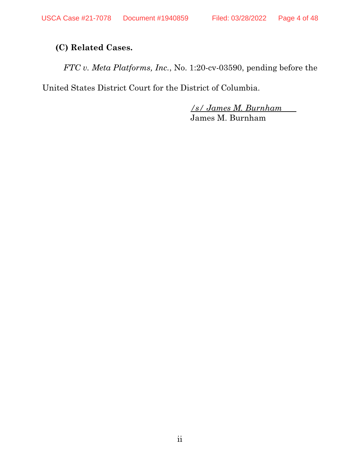# **(C) Related Cases.**

*FTC v. Meta Platforms, Inc.*, No. 1:20-cv-03590, pending before the

United States District Court for the District of Columbia.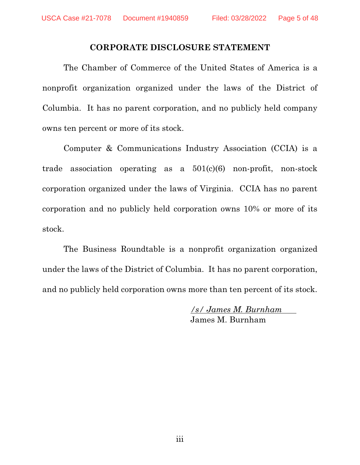### **CORPORATE DISCLOSURE STATEMENT**

The Chamber of Commerce of the United States of America is a nonprofit organization organized under the laws of the District of Columbia. It has no parent corporation, and no publicly held company owns ten percent or more of its stock.

Computer & Communications Industry Association (CCIA) is a trade association operating as a 501(c)(6) non-profit, non-stock corporation organized under the laws of Virginia. CCIA has no parent corporation and no publicly held corporation owns 10% or more of its stock.

The Business Roundtable is a nonprofit organization organized under the laws of the District of Columbia. It has no parent corporation, and no publicly held corporation owns more than ten percent of its stock.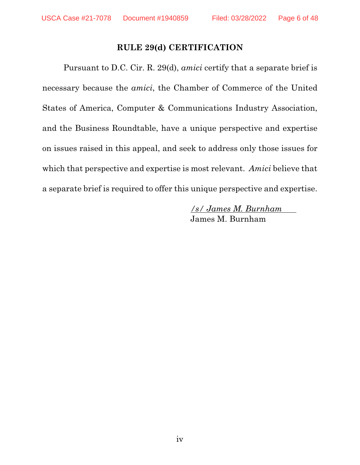### **RULE 29(d) CERTIFICATION**

Pursuant to D.C. Cir. R. 29(d), *amici* certify that a separate brief is necessary because the *amici*, the Chamber of Commerce of the United States of America, Computer & Communications Industry Association, and the Business Roundtable, have a unique perspective and expertise on issues raised in this appeal, and seek to address only those issues for which that perspective and expertise is most relevant. *Amici* believe that a separate brief is required to offer this unique perspective and expertise.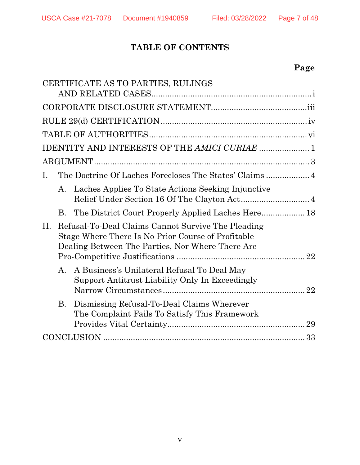# **TABLE OF CONTENTS**

# **Page**

|     |           | CERTIFICATE AS TO PARTIES, RULINGS                                                                                                                           |
|-----|-----------|--------------------------------------------------------------------------------------------------------------------------------------------------------------|
|     |           |                                                                                                                                                              |
|     |           |                                                                                                                                                              |
|     |           |                                                                                                                                                              |
|     |           |                                                                                                                                                              |
|     |           | <b>IDENTITY AND INTERESTS OF THE AMICI CURIAE  1</b>                                                                                                         |
|     |           |                                                                                                                                                              |
| Ι.  |           |                                                                                                                                                              |
|     | A.        | Laches Applies To State Actions Seeking Injunctive                                                                                                           |
|     | В.        |                                                                                                                                                              |
| II. |           | Refusal-To-Deal Claims Cannot Survive The Pleading<br>Stage Where There Is No Prior Course of Profitable<br>Dealing Between The Parties, Nor Where There Are |
|     | A.        | A Business's Unilateral Refusal To Deal May<br>Support Antitrust Liability Only In Exceedingly<br>22                                                         |
|     | <b>B.</b> | Dismissing Refusal-To-Deal Claims Wherever<br>The Complaint Fails To Satisfy This Framework                                                                  |
|     |           |                                                                                                                                                              |
|     |           |                                                                                                                                                              |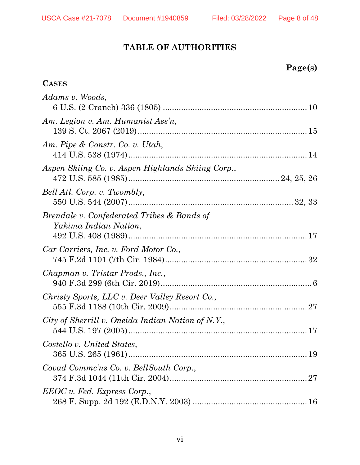# **TABLE OF AUTHORITIES**

| age(s) |
|--------|
|--------|

| <b>CASES</b>                                                        |
|---------------------------------------------------------------------|
| Adams v. Woods,                                                     |
| Am. Legion v. Am. Humanist Ass'n,                                   |
| Am. Pipe & Constr. Co. v. Utah,                                     |
| Aspen Skiing Co. v. Aspen Highlands Skiing Corp.,                   |
| Bell Atl. Corp. v. Twombly,                                         |
| Brendale v. Confederated Tribes & Bands of<br>Yakima Indian Nation, |
| Car Carriers, Inc. v. Ford Motor Co.,                               |
| Chapman v. Tristar Prods., Inc.,                                    |
| Christy Sports, LLC v. Deer Valley Resort Co.,                      |
| City of Sherrill v. Oneida Indian Nation of N.Y.,                   |
| Costello v. United States,                                          |
| Covad Comme'ns Co. v. BellSouth Corp.,                              |
| EEOC v. Fed. Express Corp.,                                         |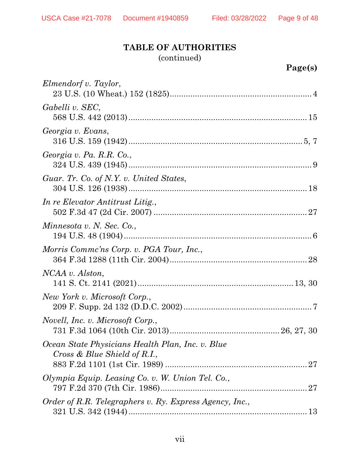# **TABLE OF AUTHORITIES**

(continued)

| Elmendorf v. Taylor,                                                             |
|----------------------------------------------------------------------------------|
| Gabelli v. SEC,                                                                  |
| Georgia v. Evans,                                                                |
| Georgia v. Pa. R.R. Co.,                                                         |
| Guar. Tr. Co. of N.Y. v. United States,                                          |
| In re Elevator Antitrust Litig.,                                                 |
| Minnesota v. N. Sec. Co.,                                                        |
| Morris Comme'ns Corp. v. PGA Tour, Inc.,                                         |
| NCAA v. Alston,                                                                  |
| New York v. Microsoft Corp.,                                                     |
| <i>Novell, Inc. v. Microsoft Corp.,</i>                                          |
| Ocean State Physicians Health Plan, Inc. v. Blue<br>Cross & Blue Shield of R.I., |
| Olympia Equip. Leasing Co. v. W. Union Tel. Co.,                                 |
| Order of R.R. Telegraphers v. Ry. Express Agency, Inc.,                          |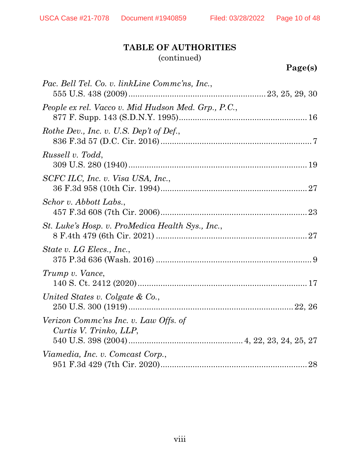# **TABLE OF AUTHORITIES** (continued)

| $\boldsymbol{\sigma}$ el<br>8 |  |
|-------------------------------|--|
|                               |  |

| Pac. Bell Tel. Co. v. linkLine Commc'ns, Inc.,                  |
|-----------------------------------------------------------------|
| People ex rel. Vacco v. Mid Hudson Med. Grp., P.C.,             |
| Rothe Dev., Inc. v. U.S. Dep't of Def.,                         |
| Russell v. Todd,                                                |
| SCFC ILC, Inc. v. Visa USA, Inc.,                               |
| Schor v. Abbott Labs.,                                          |
| St. Luke's Hosp. v. ProMedica Health Sys., Inc.,                |
| State v. LG Elecs., Inc.,                                       |
| Trump v. Vance,                                                 |
| United States v. Colgate & Co.,                                 |
| Verizon Comme'ns Inc. v. Law Offs. of<br>Curtis V. Trinko, LLP, |
| Viamedia, Inc. v. Comcast Corp.,                                |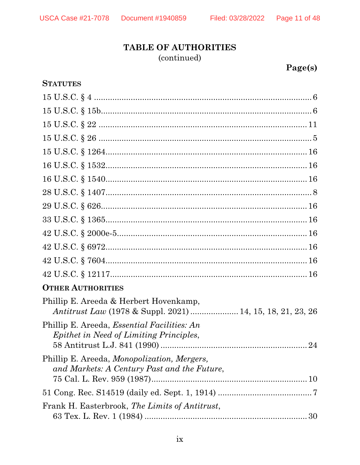### Page 11 of 48

# **TABLE OF AUTHORITIES** (continued)

# Page(s)

| <b>STATUTES</b>                                                                                             |  |
|-------------------------------------------------------------------------------------------------------------|--|
|                                                                                                             |  |
|                                                                                                             |  |
|                                                                                                             |  |
|                                                                                                             |  |
|                                                                                                             |  |
|                                                                                                             |  |
|                                                                                                             |  |
|                                                                                                             |  |
|                                                                                                             |  |
|                                                                                                             |  |
|                                                                                                             |  |
|                                                                                                             |  |
|                                                                                                             |  |
|                                                                                                             |  |
| <b>OTHER AUTHORITIES</b>                                                                                    |  |
| Phillip E. Areeda & Herbert Hovenkamp,<br><i>Antitrust Law</i> (1978 & Suppl. 2021)  14, 15, 18, 21, 23, 26 |  |
| Phillip E. Areeda, <i>Essential Facilities: An</i><br>Epithet in Need of Limiting Principles,               |  |
| Phillip E. Areeda, <i>Monopolization</i> , <i>Mergers</i> ,<br>and Markets: A Century Past and the Future,  |  |
|                                                                                                             |  |
| Frank H. Easterbrook, The Limits of Antitrust,                                                              |  |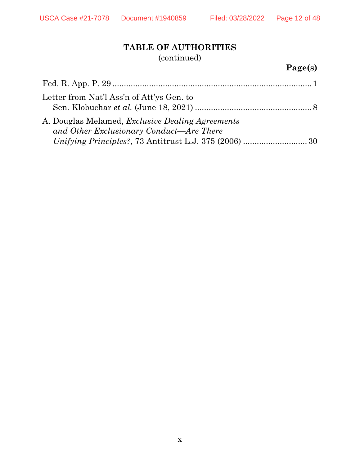# **TABLE OF AUTHORITIES** (continued)

# **Page(s)**

| Letter from Nat'l Ass'n of Att'ys Gen. to                                                           |  |
|-----------------------------------------------------------------------------------------------------|--|
| A. Douglas Melamed, <i>Exclusive Dealing Agreements</i><br>and Other Exclusionary Conduct—Are There |  |
|                                                                                                     |  |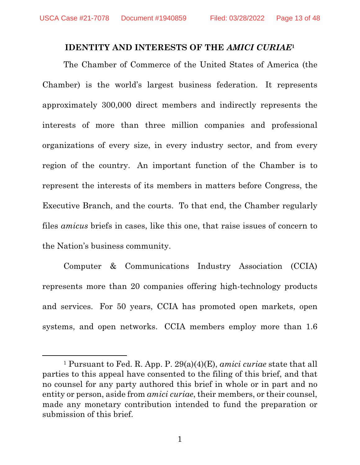### **IDENTITY AND INTERESTS OF THE** *AMICI CURIAE***<sup>1</sup>**

The Chamber of Commerce of the United States of America (the Chamber) is the world's largest business federation. It represents approximately 300,000 direct members and indirectly represents the interests of more than three million companies and professional organizations of every size, in every industry sector, and from every region of the country. An important function of the Chamber is to represent the interests of its members in matters before Congress, the Executive Branch, and the courts. To that end, the Chamber regularly files *amicus* briefs in cases, like this one, that raise issues of concern to the Nation's business community.

Computer & Communications Industry Association (CCIA) represents more than 20 companies offering high-technology products and services. For 50 years, CCIA has promoted open markets, open systems, and open networks. CCIA members employ more than 1.6

<sup>1</sup> Pursuant to Fed. R. App. P. 29(a)(4)(E), *amici curiae* state that all parties to this appeal have consented to the filing of this brief, and that no counsel for any party authored this brief in whole or in part and no entity or person, aside from *amici curiae*, their members, or their counsel, made any monetary contribution intended to fund the preparation or submission of this brief.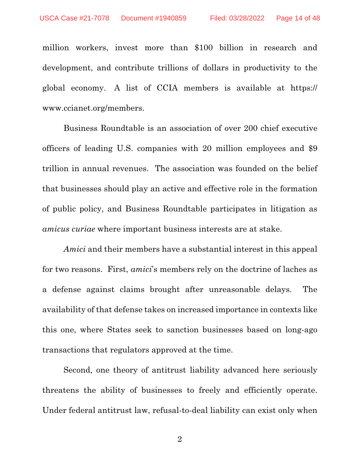million workers, invest more than \$100 billion in research and development, and contribute trillions of dollars in productivity to the global economy. A list of CCIA members is available at https:// www.ccianet.org/members.

Business Roundtable is an association of over 200 chief executive officers of leading U.S. companies with 20 million employees and \$9 trillion in annual revenues. The association was founded on the belief that businesses should play an active and effective role in the formation of public policy, and Business Roundtable participates in litigation as *amicus curiae* where important business interests are at stake.

*Amici* and their members have a substantial interest in this appeal for two reasons. First, *amici*'s members rely on the doctrine of laches as a defense against claims brought after unreasonable delays. The availability of that defense takes on increased importance in contexts like this one, where States seek to sanction businesses based on long-ago transactions that regulators approved at the time.

Second, one theory of antitrust liability advanced here seriously threatens the ability of businesses to freely and efficiently operate. Under federal antitrust law, refusal-to-deal liability can exist only when

2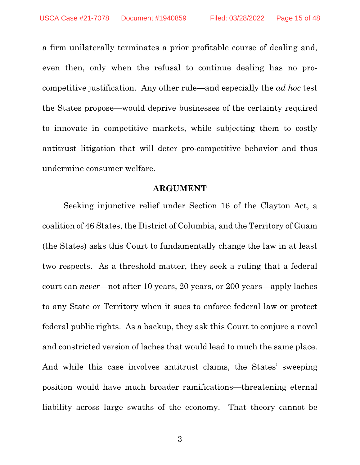a firm unilaterally terminates a prior profitable course of dealing and, even then, only when the refusal to continue dealing has no procompetitive justification. Any other rule—and especially the *ad hoc* test the States propose—would deprive businesses of the certainty required to innovate in competitive markets, while subjecting them to costly antitrust litigation that will deter pro-competitive behavior and thus undermine consumer welfare.

### **ARGUMENT**

Seeking injunctive relief under Section 16 of the Clayton Act, a coalition of 46 States, the District of Columbia, and the Territory of Guam (the States) asks this Court to fundamentally change the law in at least two respects. As a threshold matter, they seek a ruling that a federal court can *never*—not after 10 years, 20 years, or 200 years—apply laches to any State or Territory when it sues to enforce federal law or protect federal public rights. As a backup, they ask this Court to conjure a novel and constricted version of laches that would lead to much the same place. And while this case involves antitrust claims, the States' sweeping position would have much broader ramifications—threatening eternal liability across large swaths of the economy. That theory cannot be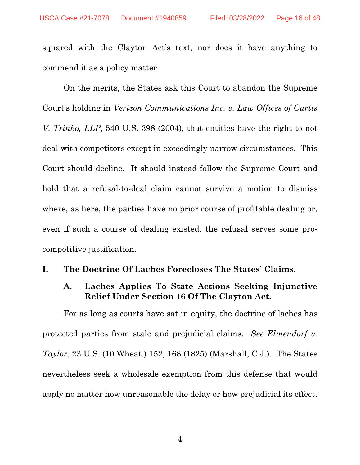squared with the Clayton Act's text, nor does it have anything to commend it as a policy matter.

On the merits, the States ask this Court to abandon the Supreme Court's holding in *Verizon Communications Inc. v. Law Offices of Curtis V. Trinko, LLP*, 540 U.S. 398 (2004), that entities have the right to not deal with competitors except in exceedingly narrow circumstances. This Court should decline. It should instead follow the Supreme Court and hold that a refusal-to-deal claim cannot survive a motion to dismiss where, as here, the parties have no prior course of profitable dealing or, even if such a course of dealing existed, the refusal serves some procompetitive justification.

### **I. The Doctrine Of Laches Forecloses The States' Claims.**

### **A. Laches Applies To State Actions Seeking Injunctive Relief Under Section 16 Of The Clayton Act.**

For as long as courts have sat in equity, the doctrine of laches has protected parties from stale and prejudicial claims. *See Elmendorf v. Taylor*, 23 U.S. (10 Wheat.) 152, 168 (1825) (Marshall, C.J.). The States nevertheless seek a wholesale exemption from this defense that would apply no matter how unreasonable the delay or how prejudicial its effect.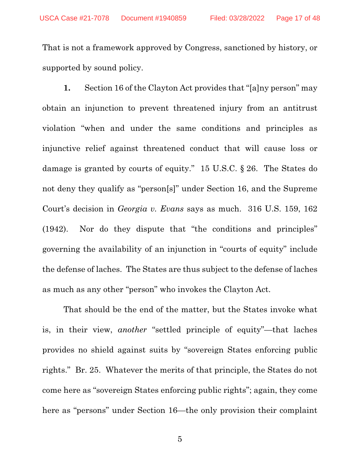That is not a framework approved by Congress, sanctioned by history, or supported by sound policy.

**1.** Section 16 of the Clayton Act provides that "[a]ny person" may obtain an injunction to prevent threatened injury from an antitrust violation "when and under the same conditions and principles as injunctive relief against threatened conduct that will cause loss or damage is granted by courts of equity." 15 U.S.C. § 26. The States do not deny they qualify as "person[s]" under Section 16, and the Supreme Court's decision in *Georgia v. Evans* says as much. 316 U.S. 159, 162 (1942). Nor do they dispute that "the conditions and principles" governing the availability of an injunction in "courts of equity" include the defense of laches. The States are thus subject to the defense of laches as much as any other "person" who invokes the Clayton Act.

That should be the end of the matter, but the States invoke what is, in their view, *another* "settled principle of equity"—that laches provides no shield against suits by "sovereign States enforcing public rights." Br. 25. Whatever the merits of that principle, the States do not come here as "sovereign States enforcing public rights"; again, they come here as "persons" under Section 16—the only provision their complaint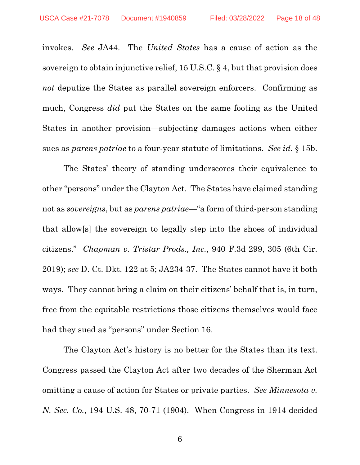invokes. *See* JA44. The *United States* has a cause of action as the sovereign to obtain injunctive relief, 15 U.S.C. § 4, but that provision does *not* deputize the States as parallel sovereign enforcers. Confirming as much, Congress *did* put the States on the same footing as the United States in another provision—subjecting damages actions when either sues as *parens patriae* to a four-year statute of limitations. *See id.* § 15b.

The States' theory of standing underscores their equivalence to other "persons" under the Clayton Act. The States have claimed standing not as *sovereigns*, but as *parens patriae*—"a form of third-person standing that allow[s] the sovereign to legally step into the shoes of individual citizens." *Chapman v. Tristar Prods., Inc.*, 940 F.3d 299, 305 (6th Cir. 2019); *see* D. Ct. Dkt. 122 at 5; JA234-37. The States cannot have it both ways. They cannot bring a claim on their citizens' behalf that is, in turn, free from the equitable restrictions those citizens themselves would face had they sued as "persons" under Section 16.

The Clayton Act's history is no better for the States than its text. Congress passed the Clayton Act after two decades of the Sherman Act omitting a cause of action for States or private parties. *See Minnesota v. N. Sec. Co.*, 194 U.S. 48, 70-71 (1904). When Congress in 1914 decided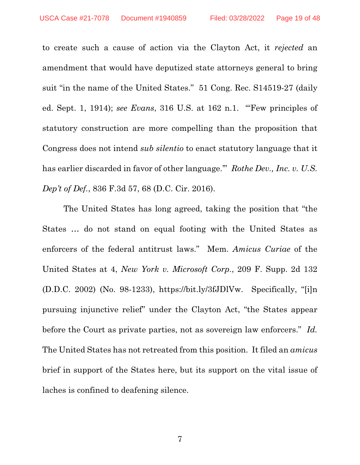to create such a cause of action via the Clayton Act, it *rejected* an amendment that would have deputized state attorneys general to bring suit "in the name of the United States." 51 Cong. Rec. S14519-27 (daily ed. Sept. 1, 1914); *see Evans*, 316 U.S. at 162 n.1. "'Few principles of statutory construction are more compelling than the proposition that Congress does not intend *sub silentio* to enact statutory language that it has earlier discarded in favor of other language.'" *Rothe Dev., Inc. v. U.S. Dep't of Def.*, 836 F.3d 57, 68 (D.C. Cir. 2016).

The United States has long agreed, taking the position that "the States … do not stand on equal footing with the United States as enforcers of the federal antitrust laws." Mem. *Amicus Curiae* of the United States at 4, *New York v. Microsoft Corp.*, 209 F. Supp. 2d 132 (D.D.C. 2002) (No. 98-1233), https://bit.ly/3fJDlVw. Specifically, "[i]n pursuing injunctive relief" under the Clayton Act, "the States appear before the Court as private parties, not as sovereign law enforcers." *Id.* The United States has not retreated from this position. It filed an *amicus* brief in support of the States here, but its support on the vital issue of laches is confined to deafening silence.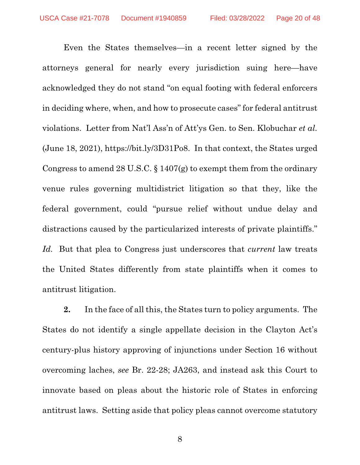Even the States themselves—in a recent letter signed by the attorneys general for nearly every jurisdiction suing here—have acknowledged they do not stand "on equal footing with federal enforcers in deciding where, when, and how to prosecute cases" for federal antitrust violations. Letter from Nat'l Ass'n of Att'ys Gen. to Sen. Klobuchar *et al.* (June 18, 2021), https://bit.ly/3D31Po8. In that context, the States urged Congress to amend 28 U.S.C.  $\S 1407(g)$  to exempt them from the ordinary venue rules governing multidistrict litigation so that they, like the federal government, could "pursue relief without undue delay and distractions caused by the particularized interests of private plaintiffs." *Id.* But that plea to Congress just underscores that *current* law treats the United States differently from state plaintiffs when it comes to antitrust litigation.

**2.** In the face of all this, the States turn to policy arguments. The States do not identify a single appellate decision in the Clayton Act's century-plus history approving of injunctions under Section 16 without overcoming laches, *see* Br. 22-28; JA263, and instead ask this Court to innovate based on pleas about the historic role of States in enforcing antitrust laws. Setting aside that policy pleas cannot overcome statutory

8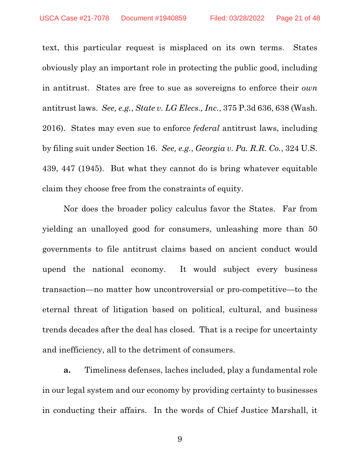text, this particular request is misplaced on its own terms. States obviously play an important role in protecting the public good, including in antitrust. States are free to sue as sovereigns to enforce their *own*  antitrust laws. *See, e.g.*, *State v. LG Elecs., Inc.*, 375 P.3d 636, 638 (Wash. 2016). States may even sue to enforce *federal* antitrust laws, including by filing suit under Section 16. *See, e.g.*, *Georgia v. Pa. R.R. Co.*, 324 U.S. 439, 447 (1945). But what they cannot do is bring whatever equitable claim they choose free from the constraints of equity.

Nor does the broader policy calculus favor the States. Far from yielding an unalloyed good for consumers, unleashing more than 50 governments to file antitrust claims based on ancient conduct would upend the national economy. It would subject every business transaction—no matter how uncontroversial or pro-competitive—to the eternal threat of litigation based on political, cultural, and business trends decades after the deal has closed. That is a recipe for uncertainty and inefficiency, all to the detriment of consumers.

**a.** Timeliness defenses, laches included, play a fundamental role in our legal system and our economy by providing certainty to businesses in conducting their affairs. In the words of Chief Justice Marshall, it

9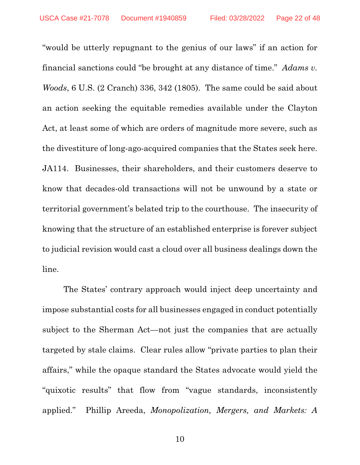"would be utterly repugnant to the genius of our laws" if an action for financial sanctions could "be brought at any distance of time." *Adams v. Woods*, 6 U.S. (2 Cranch) 336, 342 (1805). The same could be said about an action seeking the equitable remedies available under the Clayton Act, at least some of which are orders of magnitude more severe, such as the divestiture of long-ago-acquired companies that the States seek here. JA114. Businesses, their shareholders, and their customers deserve to know that decades-old transactions will not be unwound by a state or territorial government's belated trip to the courthouse. The insecurity of knowing that the structure of an established enterprise is forever subject to judicial revision would cast a cloud over all business dealings down the line.

The States' contrary approach would inject deep uncertainty and impose substantial costs for all businesses engaged in conduct potentially subject to the Sherman Act—not just the companies that are actually targeted by stale claims. Clear rules allow "private parties to plan their affairs," while the opaque standard the States advocate would yield the "quixotic results" that flow from "vague standards, inconsistently applied." Phillip Areeda, *Monopolization, Mergers, and Markets: A*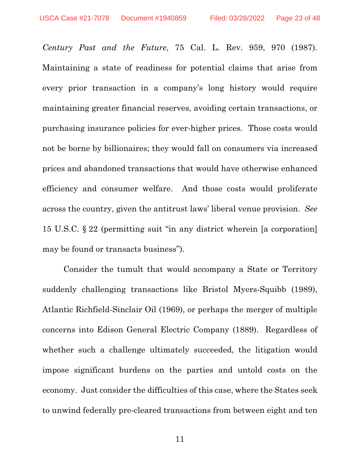*Century Past and the Future*, 75 Cal. L. Rev. 959, 970 (1987). Maintaining a state of readiness for potential claims that arise from every prior transaction in a company's long history would require maintaining greater financial reserves, avoiding certain transactions, or purchasing insurance policies for ever-higher prices. Those costs would not be borne by billionaires; they would fall on consumers via increased prices and abandoned transactions that would have otherwise enhanced efficiency and consumer welfare. And those costs would proliferate across the country, given the antitrust laws' liberal venue provision. *See* 15 U.S.C. § 22 (permitting suit "in any district wherein [a corporation] may be found or transacts business").

Consider the tumult that would accompany a State or Territory suddenly challenging transactions like Bristol Myers-Squibb (1989), Atlantic Richfield-Sinclair Oil (1969), or perhaps the merger of multiple concerns into Edison General Electric Company (1889). Regardless of whether such a challenge ultimately succeeded, the litigation would impose significant burdens on the parties and untold costs on the economy. Just consider the difficulties of this case, where the States seek to unwind federally pre-cleared transactions from between eight and ten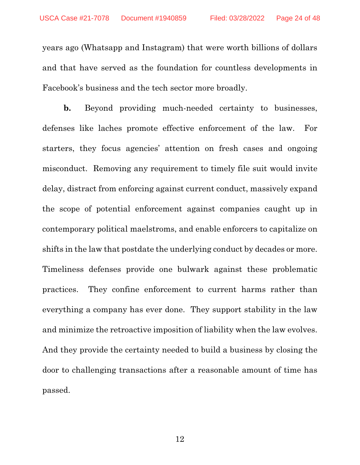years ago (Whatsapp and Instagram) that were worth billions of dollars and that have served as the foundation for countless developments in Facebook's business and the tech sector more broadly.

**b.** Beyond providing much-needed certainty to businesses, defenses like laches promote effective enforcement of the law. For starters, they focus agencies' attention on fresh cases and ongoing misconduct. Removing any requirement to timely file suit would invite delay, distract from enforcing against current conduct, massively expand the scope of potential enforcement against companies caught up in contemporary political maelstroms, and enable enforcers to capitalize on shifts in the law that postdate the underlying conduct by decades or more. Timeliness defenses provide one bulwark against these problematic practices. They confine enforcement to current harms rather than everything a company has ever done. They support stability in the law and minimize the retroactive imposition of liability when the law evolves. And they provide the certainty needed to build a business by closing the door to challenging transactions after a reasonable amount of time has passed.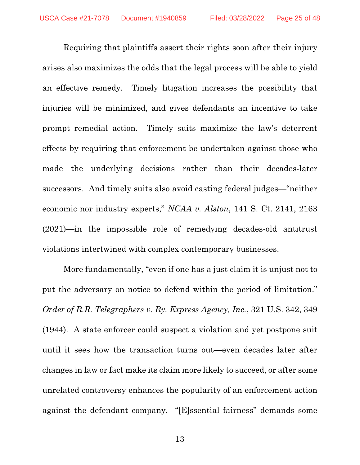Requiring that plaintiffs assert their rights soon after their injury arises also maximizes the odds that the legal process will be able to yield an effective remedy. Timely litigation increases the possibility that injuries will be minimized, and gives defendants an incentive to take prompt remedial action. Timely suits maximize the law's deterrent effects by requiring that enforcement be undertaken against those who made the underlying decisions rather than their decades-later successors. And timely suits also avoid casting federal judges—"neither economic nor industry experts," *NCAA v. Alston*, 141 S. Ct. 2141, 2163 (2021)—in the impossible role of remedying decades-old antitrust violations intertwined with complex contemporary businesses.

More fundamentally, "even if one has a just claim it is unjust not to put the adversary on notice to defend within the period of limitation." *Order of R.R. Telegraphers v. Ry. Express Agency, Inc.*, 321 U.S. 342, 349 (1944). A state enforcer could suspect a violation and yet postpone suit until it sees how the transaction turns out—even decades later after changes in law or fact make its claim more likely to succeed, or after some unrelated controversy enhances the popularity of an enforcement action against the defendant company. "[E]ssential fairness" demands some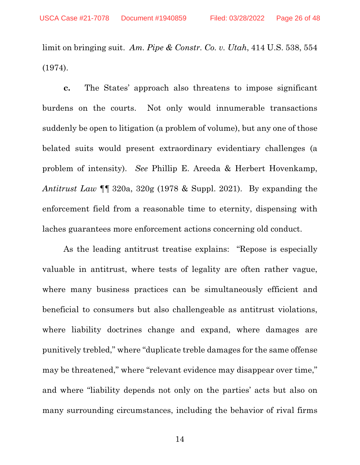limit on bringing suit. *Am. Pipe & Constr. Co. v. Utah*, 414 U.S. 538, 554 (1974).

**c.** The States' approach also threatens to impose significant burdens on the courts. Not only would innumerable transactions suddenly be open to litigation (a problem of volume), but any one of those belated suits would present extraordinary evidentiary challenges (a problem of intensity). *See* Phillip E. Areeda & Herbert Hovenkamp, *Antitrust Law* ¶¶ 320a, 320g (1978 & Suppl. 2021). By expanding the enforcement field from a reasonable time to eternity, dispensing with laches guarantees more enforcement actions concerning old conduct.

As the leading antitrust treatise explains: "Repose is especially valuable in antitrust, where tests of legality are often rather vague, where many business practices can be simultaneously efficient and beneficial to consumers but also challengeable as antitrust violations, where liability doctrines change and expand, where damages are punitively trebled," where "duplicate treble damages for the same offense may be threatened," where "relevant evidence may disappear over time," and where "liability depends not only on the parties' acts but also on many surrounding circumstances, including the behavior of rival firms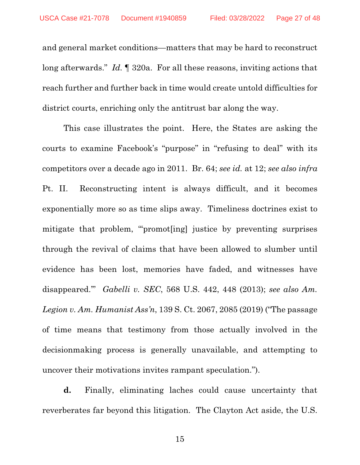and general market conditions—matters that may be hard to reconstruct long afterwards." *Id.* ¶ 320a. For all these reasons, inviting actions that reach further and further back in time would create untold difficulties for district courts, enriching only the antitrust bar along the way.

This case illustrates the point. Here, the States are asking the courts to examine Facebook's "purpose" in "refusing to deal" with its competitors over a decade ago in 2011. Br. 64; *see id.* at 12; *see also infra*  Pt. II. Reconstructing intent is always difficult, and it becomes exponentially more so as time slips away. Timeliness doctrines exist to mitigate that problem, "'promot[ing] justice by preventing surprises through the revival of claims that have been allowed to slumber until evidence has been lost, memories have faded, and witnesses have disappeared.'" *Gabelli v. SEC*, 568 U.S. 442, 448 (2013); *see also Am. Legion v. Am. Humanist Ass'n*, 139 S. Ct. 2067, 2085 (2019) ("The passage of time means that testimony from those actually involved in the decisionmaking process is generally unavailable, and attempting to uncover their motivations invites rampant speculation.").

**d.** Finally, eliminating laches could cause uncertainty that reverberates far beyond this litigation. The Clayton Act aside, the U.S.

15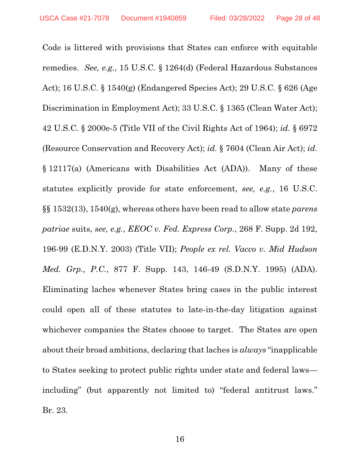Code is littered with provisions that States can enforce with equitable remedies. *See, e.g.*, 15 U.S.C. § 1264(d) (Federal Hazardous Substances Act); 16 U.S.C. § 1540(g) (Endangered Species Act); 29 U.S.C. § 626 (Age Discrimination in Employment Act); 33 U.S.C. § 1365 (Clean Water Act); 42 U.S.C. § 2000e-5 (Title VII of the Civil Rights Act of 1964); *id.* § 6972 (Resource Conservation and Recovery Act); *id.* § 7604 (Clean Air Act); *id.* § 12117(a) (Americans with Disabilities Act (ADA)). Many of these statutes explicitly provide for state enforcement, *see, e.g.*, 16 U.S.C. §§ 1532(13), 1540(g), whereas others have been read to allow state *parens patriae* suits, *see, e.g.*, *EEOC v. Fed. Express Corp.*, 268 F. Supp. 2d 192, 196-99 (E.D.N.Y. 2003) (Title VII); *People ex rel. Vacco v. Mid Hudson Med. Grp., P.C.*, 877 F. Supp. 143, 146-49 (S.D.N.Y. 1995) (ADA). Eliminating laches whenever States bring cases in the public interest could open all of these statutes to late-in-the-day litigation against whichever companies the States choose to target. The States are open about their broad ambitions, declaring that laches is *always* "inapplicable to States seeking to protect public rights under state and federal laws including" (but apparently not limited to) "federal antitrust laws." Br. 23.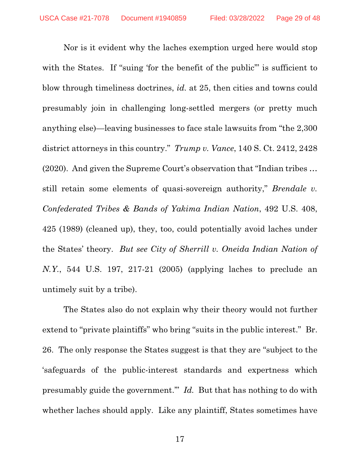Nor is it evident why the laches exemption urged here would stop with the States. If "suing 'for the benefit of the public" is sufficient to blow through timeliness doctrines, *id.* at 25, then cities and towns could presumably join in challenging long-settled mergers (or pretty much anything else)—leaving businesses to face stale lawsuits from "the 2,300 district attorneys in this country." *Trump v. Vance*, 140 S. Ct. 2412, 2428 (2020). And given the Supreme Court's observation that "Indian tribes … still retain some elements of quasi-sovereign authority," *Brendale v. Confederated Tribes & Bands of Yakima Indian Nation*, 492 U.S. 408, 425 (1989) (cleaned up), they, too, could potentially avoid laches under the States' theory. *But see City of Sherrill v. Oneida Indian Nation of N.Y.*, 544 U.S. 197, 217-21 (2005) (applying laches to preclude an untimely suit by a tribe).

The States also do not explain why their theory would not further extend to "private plaintiffs" who bring "suits in the public interest." Br. 26. The only response the States suggest is that they are "subject to the 'safeguards of the public-interest standards and expertness which presumably guide the government.'" *Id.* But that has nothing to do with whether laches should apply. Like any plaintiff, States sometimes have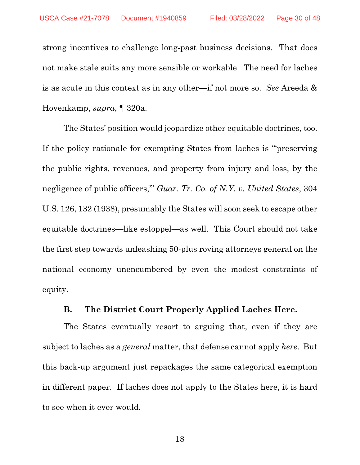strong incentives to challenge long-past business decisions. That does not make stale suits any more sensible or workable. The need for laches is as acute in this context as in any other—if not more so. *See* Areeda & Hovenkamp, *supra*, ¶ 320a.

The States' position would jeopardize other equitable doctrines, too. If the policy rationale for exempting States from laches is "'preserving the public rights, revenues, and property from injury and loss, by the negligence of public officers,'" *Guar. Tr. Co. of N.Y. v. United States*, 304 U.S. 126, 132 (1938), presumably the States will soon seek to escape other equitable doctrines—like estoppel—as well. This Court should not take the first step towards unleashing 50-plus roving attorneys general on the national economy unencumbered by even the modest constraints of equity.

### **B. The District Court Properly Applied Laches Here.**

The States eventually resort to arguing that, even if they are subject to laches as a *general* matter, that defense cannot apply *here*. But this back-up argument just repackages the same categorical exemption in different paper. If laches does not apply to the States here, it is hard to see when it ever would.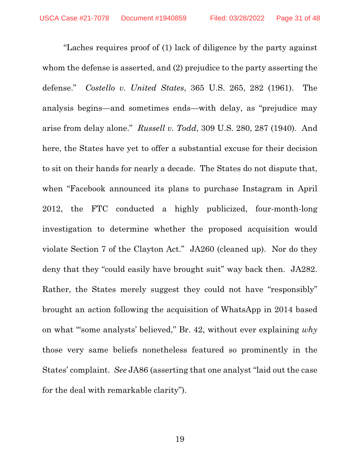"Laches requires proof of (1) lack of diligence by the party against whom the defense is asserted, and (2) prejudice to the party asserting the defense." *Costello v. United States*, 365 U.S. 265, 282 (1961). The analysis begins—and sometimes ends—with delay, as "prejudice may arise from delay alone." *Russell v. Todd*, 309 U.S. 280, 287 (1940). And here, the States have yet to offer a substantial excuse for their decision to sit on their hands for nearly a decade. The States do not dispute that, when "Facebook announced its plans to purchase Instagram in April 2012, the FTC conducted a highly publicized, four-month-long investigation to determine whether the proposed acquisition would violate Section 7 of the Clayton Act." JA260 (cleaned up). Nor do they deny that they "could easily have brought suit" way back then. JA282. Rather, the States merely suggest they could not have "responsibly" brought an action following the acquisition of WhatsApp in 2014 based on what "'some analysts' believed," Br. 42, without ever explaining *why* those very same beliefs nonetheless featured so prominently in the States' complaint. *See* JA86 (asserting that one analyst "laid out the case for the deal with remarkable clarity").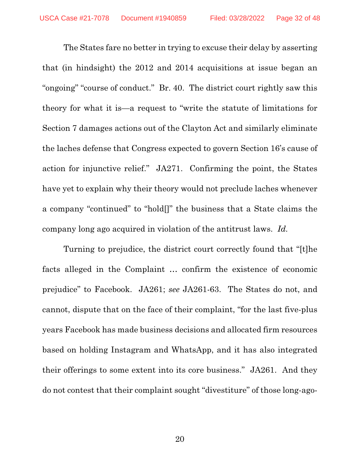The States fare no better in trying to excuse their delay by asserting that (in hindsight) the 2012 and 2014 acquisitions at issue began an "ongoing" "course of conduct." Br. 40. The district court rightly saw this theory for what it is—a request to "write the statute of limitations for Section 7 damages actions out of the Clayton Act and similarly eliminate the laches defense that Congress expected to govern Section 16's cause of action for injunctive relief." JA271. Confirming the point, the States have yet to explain why their theory would not preclude laches whenever a company "continued" to "hold[]" the business that a State claims the company long ago acquired in violation of the antitrust laws. *Id.*

Turning to prejudice, the district court correctly found that "[t]he facts alleged in the Complaint … confirm the existence of economic prejudice" to Facebook. JA261; *see* JA261-63.The States do not, and cannot, dispute that on the face of their complaint, "for the last five-plus years Facebook has made business decisions and allocated firm resources based on holding Instagram and WhatsApp, and it has also integrated their offerings to some extent into its core business." JA261. And they do not contest that their complaint sought "divestiture" of those long-ago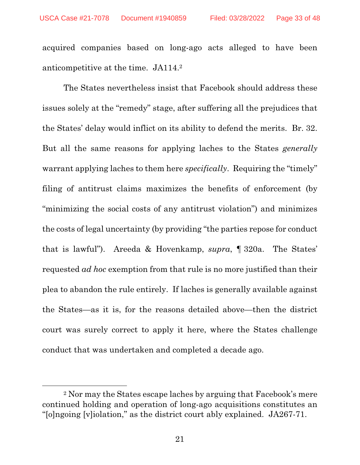acquired companies based on long-ago acts alleged to have been anticompetitive at the time. JA114.2

The States nevertheless insist that Facebook should address these issues solely at the "remedy" stage, after suffering all the prejudices that the States' delay would inflict on its ability to defend the merits. Br. 32. But all the same reasons for applying laches to the States *generally* warrant applying laches to them here *specifically*. Requiring the "timely" filing of antitrust claims maximizes the benefits of enforcement (by "minimizing the social costs of any antitrust violation") and minimizes the costs of legal uncertainty (by providing "the parties repose for conduct that is lawful"). Areeda & Hovenkamp, *supra*, ¶ 320a. The States' requested *ad hoc* exemption from that rule is no more justified than their plea to abandon the rule entirely. If laches is generally available against the States—as it is, for the reasons detailed above—then the district court was surely correct to apply it here, where the States challenge conduct that was undertaken and completed a decade ago.

<sup>2</sup> Nor may the States escape laches by arguing that Facebook's mere continued holding and operation of long-ago acquisitions constitutes an "[o]ngoing [v]iolation," as the district court ably explained. JA267-71.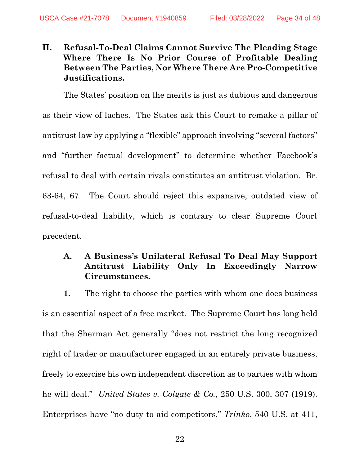### **II. Refusal-To-Deal Claims Cannot Survive The Pleading Stage Where There Is No Prior Course of Profitable Dealing Between The Parties, Nor Where There Are Pro-Competitive Justifications.**

The States' position on the merits is just as dubious and dangerous as their view of laches. The States ask this Court to remake a pillar of antitrust law by applying a "flexible" approach involving "several factors" and "further factual development" to determine whether Facebook's refusal to deal with certain rivals constitutes an antitrust violation. Br. 63-64, 67. The Court should reject this expansive, outdated view of refusal-to-deal liability, which is contrary to clear Supreme Court precedent.

### **A. A Business's Unilateral Refusal To Deal May Support Antitrust Liability Only In Exceedingly Narrow Circumstances.**

**1.** The right to choose the parties with whom one does business is an essential aspect of a free market. The Supreme Court has long held that the Sherman Act generally "does not restrict the long recognized right of trader or manufacturer engaged in an entirely private business, freely to exercise his own independent discretion as to parties with whom he will deal." *United States v. Colgate & Co.*, 250 U.S. 300, 307 (1919). Enterprises have "no duty to aid competitors," *Trinko*, 540 U.S. at 411,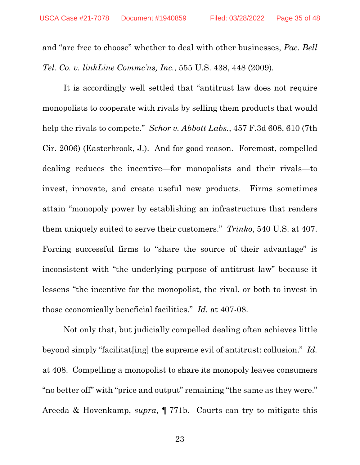and "are free to choose" whether to deal with other businesses, *Pac. Bell Tel. Co. v. linkLine Commc'ns, Inc.*, 555 U.S. 438, 448 (2009)*.*

It is accordingly well settled that "antitrust law does not require monopolists to cooperate with rivals by selling them products that would help the rivals to compete." *Schor v. Abbott Labs.*, 457 F.3d 608, 610 (7th Cir. 2006) (Easterbrook, J.). And for good reason. Foremost, compelled dealing reduces the incentive—for monopolists and their rivals—to invest, innovate, and create useful new products. Firms sometimes attain "monopoly power by establishing an infrastructure that renders them uniquely suited to serve their customers." *Trinko*, 540 U.S. at 407. Forcing successful firms to "share the source of their advantage" is inconsistent with "the underlying purpose of antitrust law" because it lessens "the incentive for the monopolist, the rival, or both to invest in those economically beneficial facilities." *Id.* at 407-08.

Not only that, but judicially compelled dealing often achieves little beyond simply "facilitat[ing] the supreme evil of antitrust: collusion." *Id.* at 408. Compelling a monopolist to share its monopoly leaves consumers "no better off" with "price and output" remaining "the same as they were." Areeda & Hovenkamp, *supra*, ¶ 771b. Courts can try to mitigate this

23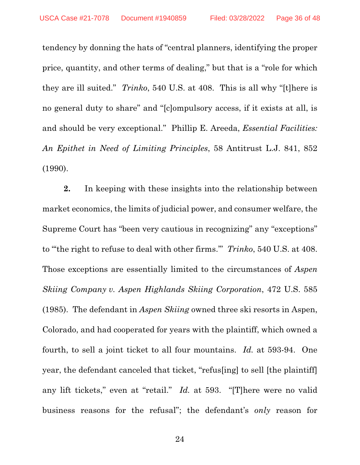tendency by donning the hats of "central planners, identifying the proper price, quantity, and other terms of dealing," but that is a "role for which they are ill suited." *Trinko*, 540 U.S. at 408. This is all why "[t]here is no general duty to share" and "[c]ompulsory access, if it exists at all, is and should be very exceptional." Phillip E. Areeda, *Essential Facilities: An Epithet in Need of Limiting Principles*, 58 Antitrust L.J. 841, 852 (1990).

**2.** In keeping with these insights into the relationship between market economics, the limits of judicial power, and consumer welfare, the Supreme Court has "been very cautious in recognizing" any "exceptions" to "'the right to refuse to deal with other firms.'" *Trinko*, 540 U.S. at 408. Those exceptions are essentially limited to the circumstances of *Aspen Skiing Company v. Aspen Highlands Skiing Corporation*, 472 U.S. 585 (1985). The defendant in *Aspen Skiing* owned three ski resorts in Aspen, Colorado, and had cooperated for years with the plaintiff, which owned a fourth, to sell a joint ticket to all four mountains. *Id.* at 593-94. One year, the defendant canceled that ticket, "refus[ing] to sell [the plaintiff] any lift tickets," even at "retail." *Id.* at 593. "[T]here were no valid business reasons for the refusal"; the defendant's *only* reason for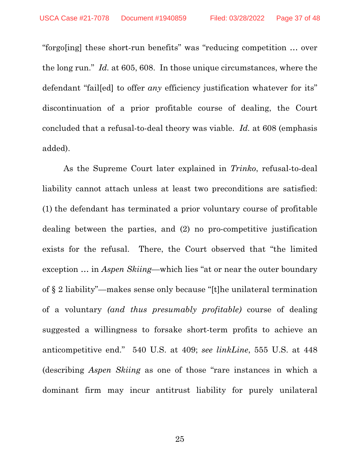"forgo[ing] these short-run benefits" was "reducing competition … over the long run." *Id.* at 605, 608. In those unique circumstances, where the defendant "fail[ed] to offer *any* efficiency justification whatever for its" discontinuation of a prior profitable course of dealing, the Court concluded that a refusal-to-deal theory was viable. *Id.* at 608 (emphasis added).

As the Supreme Court later explained in *Trinko*, refusal-to-deal liability cannot attach unless at least two preconditions are satisfied: (1) the defendant has terminated a prior voluntary course of profitable dealing between the parties, and (2) no pro-competitive justification exists for the refusal. There, the Court observed that "the limited exception … in *Aspen Skiing*—which lies "at or near the outer boundary of § 2 liability"—makes sense only because "[t]he unilateral termination of a voluntary *(and thus presumably profitable)* course of dealing suggested a willingness to forsake short-term profits to achieve an anticompetitive end." 540 U.S. at 409; *see linkLine*, 555 U.S. at 448 (describing *Aspen Skiing* as one of those "rare instances in which a dominant firm may incur antitrust liability for purely unilateral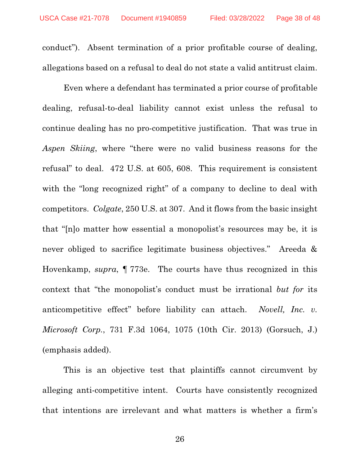conduct"). Absent termination of a prior profitable course of dealing, allegations based on a refusal to deal do not state a valid antitrust claim.

Even where a defendant has terminated a prior course of profitable dealing, refusal-to-deal liability cannot exist unless the refusal to continue dealing has no pro-competitive justification. That was true in *Aspen Skiing*, where "there were no valid business reasons for the refusal" to deal. 472 U.S. at 605, 608. This requirement is consistent with the "long recognized right" of a company to decline to deal with competitors. *Colgate*, 250 U.S. at 307. And it flows from the basic insight that "[n]o matter how essential a monopolist's resources may be, it is never obliged to sacrifice legitimate business objectives." Areeda & Hovenkamp, *supra*, ¶ 773e. The courts have thus recognized in this context that "the monopolist's conduct must be irrational *but for* its anticompetitive effect" before liability can attach. *Novell, Inc. v. Microsoft Corp.*, 731 F.3d 1064, 1075 (10th Cir. 2013) (Gorsuch, J.) (emphasis added).

This is an objective test that plaintiffs cannot circumvent by alleging anti-competitive intent. Courts have consistently recognized that intentions are irrelevant and what matters is whether a firm's

26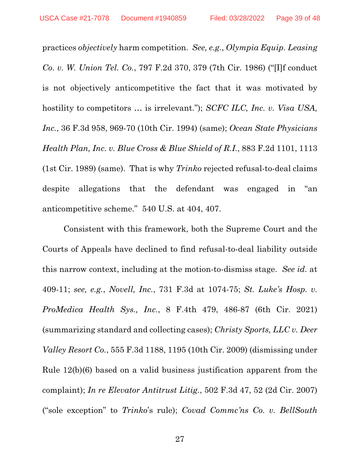practices *objectively* harm competition. *See, e.g.*, *Olympia Equip. Leasing Co. v. W. Union Tel. Co.*, 797 F.2d 370, 379 (7th Cir. 1986) ("[I]f conduct is not objectively anticompetitive the fact that it was motivated by hostility to competitors ... is irrelevant."); *SCFC ILC, Inc. v. Visa USA*, *Inc.*, 36 F.3d 958, 969-70 (10th Cir. 1994) (same); *Ocean State Physicians Health Plan, Inc. v. Blue Cross & Blue Shield of R.I.*, 883 F.2d 1101, 1113 (1st Cir. 1989) (same). That is why *Trinko* rejected refusal-to-deal claims despite allegations that the defendant was engaged in "an anticompetitive scheme." 540 U.S. at 404, 407.

Consistent with this framework, both the Supreme Court and the Courts of Appeals have declined to find refusal-to-deal liability outside this narrow context, including at the motion-to-dismiss stage. *See id.* at 409-11; *see, e.g.*, *Novell, Inc.*, 731 F.3d at 1074-75; *St. Luke's Hosp. v. ProMedica Health Sys., Inc.*, 8 F.4th 479, 486-87 (6th Cir. 2021) (summarizing standard and collecting cases); *Christy Sports, LLC v. Deer Valley Resort Co.*, 555 F.3d 1188, 1195 (10th Cir. 2009) (dismissing under Rule 12(b)(6) based on a valid business justification apparent from the complaint); *In re Elevator Antitrust Litig.*, 502 F.3d 47, 52 (2d Cir. 2007) ("sole exception" to *Trinko*'s rule); *Covad Commc'ns Co. v. BellSouth*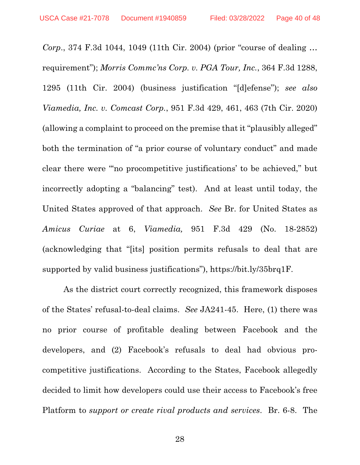*Corp*., 374 F.3d 1044, 1049 (11th Cir. 2004) (prior "course of dealing … requirement"); *Morris Commc'ns Corp. v. PGA Tour, Inc.*, 364 F.3d 1288, 1295 (11th Cir. 2004) (business justification "[d]efense"); *see also Viamedia, Inc. v. Comcast Corp.*, 951 F.3d 429, 461, 463 (7th Cir. 2020) (allowing a complaint to proceed on the premise that it "plausibly alleged" both the termination of "a prior course of voluntary conduct" and made clear there were "'no procompetitive justifications' to be achieved," but incorrectly adopting a "balancing" test). And at least until today, the United States approved of that approach. *See* Br. for United States as *Amicus Curiae* at 6, *Viamedia,* 951 F.3d 429 (No. 18-2852) (acknowledging that "[its] position permits refusals to deal that are supported by valid business justifications"), https://bit.ly/35brq1F.

As the district court correctly recognized, this framework disposes of the States' refusal-to-deal claims. *See* JA241-45. Here, (1) there was no prior course of profitable dealing between Facebook and the developers, and (2) Facebook's refusals to deal had obvious procompetitive justifications. According to the States, Facebook allegedly decided to limit how developers could use their access to Facebook's free Platform to *support or create rival products and services*. Br. 6-8. The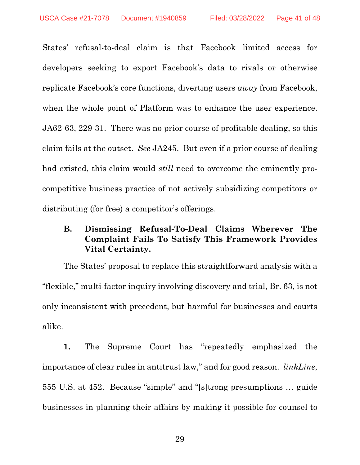States' refusal-to-deal claim is that Facebook limited access for developers seeking to export Facebook's data to rivals or otherwise replicate Facebook's core functions, diverting users *away* from Facebook, when the whole point of Platform was to enhance the user experience. JA62-63, 229-31. There was no prior course of profitable dealing, so this claim fails at the outset. *See* JA245. But even if a prior course of dealing had existed, this claim would *still* need to overcome the eminently procompetitive business practice of not actively subsidizing competitors or distributing (for free) a competitor's offerings.

### **B. Dismissing Refusal-To-Deal Claims Wherever The Complaint Fails To Satisfy This Framework Provides Vital Certainty.**

The States' proposal to replace this straightforward analysis with a "flexible," multi-factor inquiry involving discovery and trial, Br. 63, is not only inconsistent with precedent, but harmful for businesses and courts alike.

**1.** The Supreme Court has "repeatedly emphasized the importance of clear rules in antitrust law," and for good reason. *linkLine*, 555 U.S. at 452. Because "simple" and "[s]trong presumptions … guide businesses in planning their affairs by making it possible for counsel to

29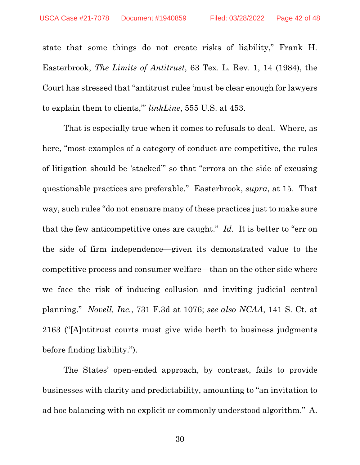state that some things do not create risks of liability," Frank H. Easterbrook, *The Limits of Antitrust*, 63 Tex. L. Rev. 1, 14 (1984), the Court has stressed that "antitrust rules 'must be clear enough for lawyers to explain them to clients,'" *linkLine*, 555 U.S. at 453.

That is especially true when it comes to refusals to deal. Where, as here, "most examples of a category of conduct are competitive, the rules of litigation should be 'stacked'" so that "errors on the side of excusing questionable practices are preferable." Easterbrook, *supra*, at 15. That way, such rules "do not ensnare many of these practices just to make sure that the few anticompetitive ones are caught." *Id.* It is better to "err on the side of firm independence—given its demonstrated value to the competitive process and consumer welfare—than on the other side where we face the risk of inducing collusion and inviting judicial central planning." *Novell, Inc.*, 731 F.3d at 1076; *see also NCAA*, 141 S. Ct. at 2163 ("[A]ntitrust courts must give wide berth to business judgments before finding liability.").

The States' open-ended approach, by contrast, fails to provide businesses with clarity and predictability, amounting to "an invitation to ad hoc balancing with no explicit or commonly understood algorithm." A.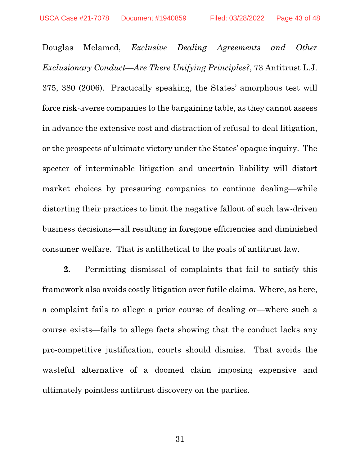Douglas Melamed, *Exclusive Dealing Agreements and Other Exclusionary Conduct—Are There Unifying Principles?*, 73 Antitrust L.J. 375, 380 (2006). Practically speaking, the States' amorphous test will force risk-averse companies to the bargaining table, as they cannot assess in advance the extensive cost and distraction of refusal-to-deal litigation, or the prospects of ultimate victory under the States' opaque inquiry. The specter of interminable litigation and uncertain liability will distort market choices by pressuring companies to continue dealing—while distorting their practices to limit the negative fallout of such law-driven business decisions—all resulting in foregone efficiencies and diminished consumer welfare. That is antithetical to the goals of antitrust law.

**2.** Permitting dismissal of complaints that fail to satisfy this framework also avoids costly litigation over futile claims. Where, as here, a complaint fails to allege a prior course of dealing or—where such a course exists—fails to allege facts showing that the conduct lacks any pro-competitive justification, courts should dismiss. That avoids the wasteful alternative of a doomed claim imposing expensive and ultimately pointless antitrust discovery on the parties.

31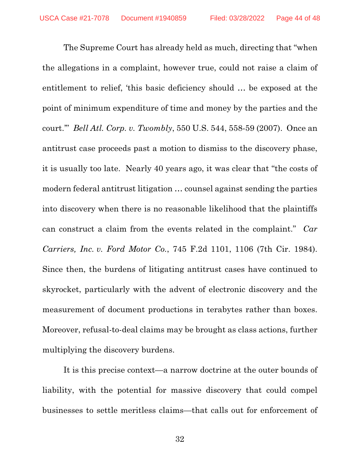The Supreme Court has already held as much, directing that "when the allegations in a complaint, however true, could not raise a claim of entitlement to relief, 'this basic deficiency should … be exposed at the point of minimum expenditure of time and money by the parties and the court.'" *Bell Atl. Corp. v. Twombly*, 550 U.S. 544, 558-59 (2007). Once an antitrust case proceeds past a motion to dismiss to the discovery phase, it is usually too late. Nearly 40 years ago, it was clear that "the costs of modern federal antitrust litigation … counsel against sending the parties into discovery when there is no reasonable likelihood that the plaintiffs can construct a claim from the events related in the complaint." *Car Carriers, Inc. v. Ford Motor Co.*, 745 F.2d 1101, 1106 (7th Cir. 1984). Since then, the burdens of litigating antitrust cases have continued to skyrocket, particularly with the advent of electronic discovery and the measurement of document productions in terabytes rather than boxes. Moreover, refusal-to-deal claims may be brought as class actions, further multiplying the discovery burdens.

It is this precise context—a narrow doctrine at the outer bounds of liability, with the potential for massive discovery that could compel businesses to settle meritless claims—that calls out for enforcement of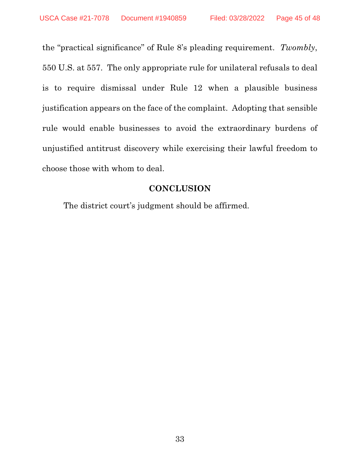the "practical significance" of Rule 8's pleading requirement. *Twombly*, 550 U.S. at 557. The only appropriate rule for unilateral refusals to deal is to require dismissal under Rule 12 when a plausible business justification appears on the face of the complaint. Adopting that sensible rule would enable businesses to avoid the extraordinary burdens of unjustified antitrust discovery while exercising their lawful freedom to choose those with whom to deal.

### **CONCLUSION**

The district court's judgment should be affirmed.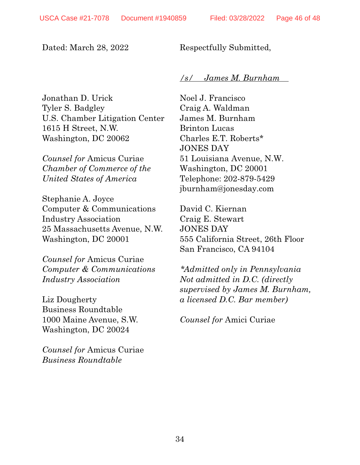### Dated: March 28, 2022

Respectfully Submitted,

### */s/ James M. Burnham*

Jonathan D. Urick Tyler S. Badgley U.S. Chamber Litigation Center 1615 H Street, N.W. Washington, DC 20062

*Counsel for* Amicus Curiae *Chamber of Commerce of the United States of America* 

Stephanie A. Joyce Computer & Communications Industry Association 25 Massachusetts Avenue, N.W. Washington, DC 20001

*Counsel for* Amicus Curiae *Computer & Communications Industry Association* 

Liz Dougherty Business Roundtable 1000 Maine Avenue, S.W. Washington, DC 20024

*Counsel for* Amicus Curiae *Business Roundtable*

Noel J. Francisco Craig A. Waldman James M. Burnham Brinton Lucas Charles E.T. Roberts\* JONES DAY 51 Louisiana Avenue, N.W. Washington, DC 20001 Telephone: 202-879-5429 jburnham@jonesday.com

David C. Kiernan Craig E. Stewart JONES DAY 555 California Street, 26th Floor San Francisco, CA 94104

*\*Admitted only in Pennsylvania Not admitted in D.C. (directly supervised by James M. Burnham, a licensed D.C. Bar member)* 

*Counsel for* Amici Curiae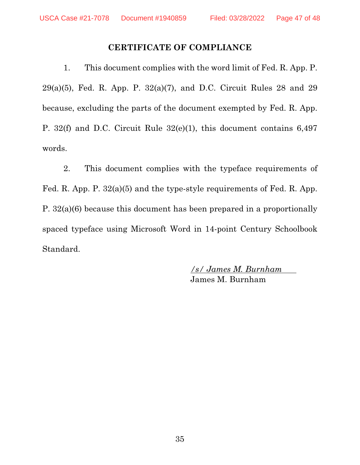### **CERTIFICATE OF COMPLIANCE**

1. This document complies with the word limit of Fed. R. App. P. 29(a)(5), Fed. R. App. P.  $32(a)(7)$ , and D.C. Circuit Rules 28 and 29 because, excluding the parts of the document exempted by Fed. R. App. P. 32(f) and D.C. Circuit Rule 32(e)(1), this document contains 6,497 words.

2. This document complies with the typeface requirements of Fed. R. App. P. 32(a)(5) and the type-style requirements of Fed. R. App. P. 32(a)(6) because this document has been prepared in a proportionally spaced typeface using Microsoft Word in 14-point Century Schoolbook Standard.